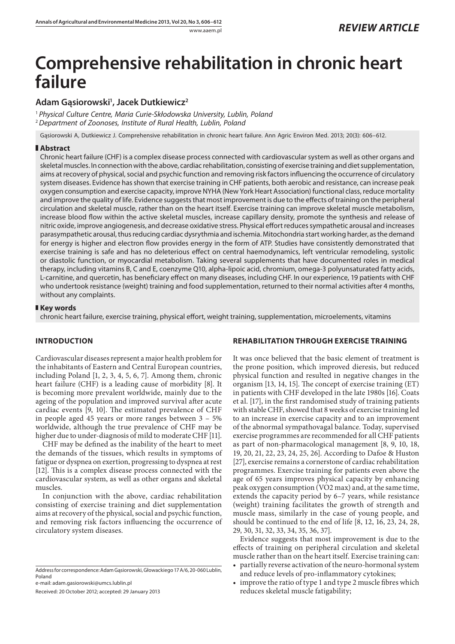# **Comprehensive rehabilitation in chronic heart failure**

# **Adam Gąsiorowski1 , Jacek Dutkiewicz2**

<sup>1</sup> *Physical Culture Centre, Maria Curie-Skłodowska University, Lublin, Poland* <sup>2</sup>*Department of Zoonoses, Institute of Rural Health, Lublin, Poland*

Gąsiorowski A, Dutkiewicz J. Comprehensive rehabilitation in chronic heart failure. Ann Agric Environ Med. 2013; 20(3): 606–612.

#### **Abstract**

Chronic heart failure (CHF) is a complex disease process connected with cardiovascular system as well as other organs and skeletal muscles. In connection with the above, cardiac rehabilitation, consisting of exercise training and diet supplementation, aims at recovery of physical, social and psychic function and removing risk factors influencing the occurrence of circulatory system diseases. Evidence has shown that exercise training in CHF patients, both aerobic and resistance, can increase peak oxygen consumption and exercise capacity, improve NYHA (New York Heart Association) functional class, reduce mortality and improve the quality of life. Evidence suggests that most improvement is due to the effects of training on the peripheral circulation and skeletal muscle, rather than on the heart itself. Exercise training can improve skeletal muscle metabolism, increase blood flow within the active skeletal muscles, increase capillary density, promote the synthesis and release of nitric oxide, improve angiogenesis, and decrease oxidative stress. Physical effort reduces sympathetic arousal and increases parasympathetic arousal, thus reducing cardiac dysrythmia and ischemia. Mitochondria start working harder, as the demand for energy is higher and electron flow provides energy in the form of ATP. Studies have consistently demonstrated that exercise training is safe and has no deleterious effect on central haemodynamics, left ventricular remodeling, systolic or diastolic function, or myocardial metabolism. Taking several supplements that have documented roles in medical therapy, including vitamins B, C and E, coenzyme Q10, alpha-lipoic acid, chromium, omega-3 polyunsaturated fatty acids, L-carnitine, and quercetin, has beneficiary effect on many diseases, including CHF. In our experience, 19 patients with CHF who undertook resistance (weight) training and food supplementation, returned to their normal activities after 4 months, without any complaints.

#### **Key words**

chronic heart failure, exercise training, physical effort, weight training, supplementation, microelements, vitamins

# **INTRODUCTION**

Cardiovascular diseases represent a major health problem for the inhabitants of Eastern and Central European countries, including Poland [1, 2, 3, 4, 5, 6, 7]. Among them, chronic heart failure (CHF) is a leading cause of morbidity [8]. It is becoming more prevalent worldwide, mainly due to the ageing of the population and improved survival after acute cardiac events [9, 10]. The estimated prevalence of CHF in people aged 45 years or more ranges between 3 – 5% worldwide, although the true prevalence of CHF may be higher due to under-diagnosis of mild to moderate CHF [11].

CHF may be defined as the inability of the heart to meet the demands of the tissues, which results in symptoms of fatigue or dyspnea on exertion, progressing to dyspnea at rest [12]. This is a complex disease process connected with the cardiovascular system, as well as other organs and skeletal muscles.

In conjunction with the above, cardiac rehabilitation consisting of exercise training and diet supplementation aims at recovery of the physical, social and psychic function, and removing risk factors influencing the occurrence of circulatory system diseases.

Address for correspondence: Adam Gąsiorowski, Głowackiego 17 A/6, 20-060 Lublin, Poland

e-mail: adam.gasiorowski@umcs.lublin.pl

Received: 20 October 2012; accepted: 29 January 2013

# **REHABILITATION THROUGH EXERCISE TRAINING**

It was once believed that the basic element of treatment is the prone position, which improved dieresis, but reduced physical function and resulted in negative changes in the organism [13, 14, 15]. The concept of exercise training (ET) in patients with CHF developed in the late 1980s [16]. Coats et al. [17], in the first randomised study of training patients with stable CHF, showed that 8 weeks of exercise training led to an increase in exercise capacity and to an improvement of the abnormal sympathovagal balance. Today, supervised exercise programmes are recommended for all CHF patients as part of non-pharmacological management [8, 9, 10, 18, 19, 20, 21, 22, 23, 24, 25, 26]. According to Dafoe & Huston [27], exercise remains a cornerstone of cardiac rehabilitation programmes. Exercise training for patients even above the age of 65 years improves physical capacity by enhancing peak oxygen consumption (VO2 max) and, at the same time, extends the capacity period by 6–7 years, while resistance (weight) training facilitates the growth of strength and muscle mass, similarly in the case of young people, and should be continued to the end of life [8, 12, 16, 23, 24, 28, 29, 30, 31, 32, 33, 34, 35, 36, 37].

Evidence suggests that most improvement is due to the effects of training on peripheral circulation and skeletal muscle rather than on the heart itself. Exercise training can:

- partially reverse activation of the neuro-hormonal system and reduce levels of pro-inflammatory cytokines;
- improve the ratio of type 1 and type 2 muscle fibres which reduces skeletal muscle fatigability;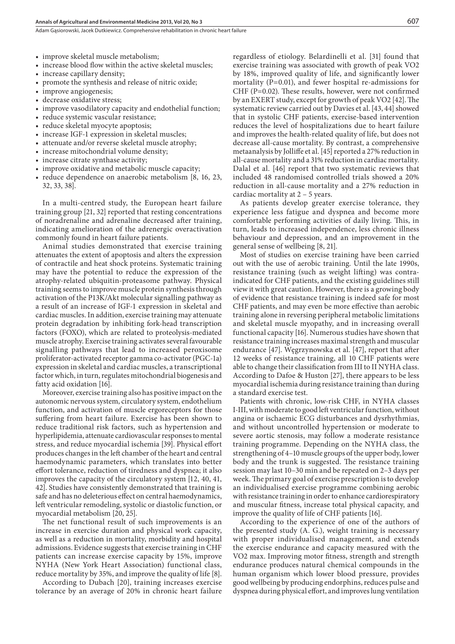Adam Gasiorowski, Jacek Dutkiewicz, Comprehensive rehabilitation in chronic heart failure

- improve skeletal muscle metabolism;
- increase blood flow within the active skeletal muscles;
- increase capillary density;
- promote the synthesis and release of nitric oxide;
- improve angiogenesis;
- decrease oxidative stress;
- improve vasodilatory capacity and endothelial function;
- reduce systemic vascular resistance;
- reduce skeletal myocyte apoptosis;
- increase IGF-1 expression in skeletal muscles;
- attenuate and/or reverse skeletal muscle atrophy;
- increase mitochondrial volume density;
- increase citrate synthase activity;
- improve oxidative and metabolic muscle capacity;
- reduce dependence on anaerobic metabolism [8, 16, 23, 32, 33, 38].

In a multi-centred study, the European heart failure training group [21, 32] reported that resting concentrations of noradrenaline and adrenaline decreased after training, indicating amelioration of the adrenergic overactivation commonly found in heart failure patients.

Animal studies demonstrated that exercise training attenuates the extent of apoptosis and alters the expression of contractile and heat shock proteins. Systematic training may have the potential to reduce the expression of the atrophy-related ubiquitin-proteasome pathway. Physical training seems to improve muscle protein synthesis through activation of the P13K/Akt molecular signalling pathway as a result of an increase of IGF-1 expression in skeletal and cardiac muscles. In addition, exercise training may attenuate protein degradation by inhibiting fork-head transcription factors (FOXO), which are related to proteolysis-mediated muscle atrophy. Exercise training activates several favourable signalling pathways that lead to increased peroxisome proliferator-activated receptor gamma co-activator (PGC-1a) expression in skeletal and cardiac muscles, a transcriptional factor which, in turn, regulates mitochondrial biogenesis and fatty acid oxidation [16].

Moreover, exercise training also has positive impact on the autonomic nervous system, circulatory system, endothelium function, and activation of muscle ergoreceptors for those suffering from heart failure. Exercise has been shown to reduce traditional risk factors, such as hypertension and hyperlipidemia, attenuate cardiovascular responses to mental stress, and reduce myocardial ischemia [39]. Physical effort produces changes in the left chamber of the heart and central haemodynamic parameters, which translates into better effort tolerance, reduction of tiredness and dyspnea; it also improves the capacity of the circulatory system [12, 40, 41, 42]. Studies have consistently demonstrated that training is safe and has no deleterious effect on central haemodynamics, left ventricular remodeling, systolic or diastolic function, or myocardial metabolism [20, 25].

The net functional result of such improvements is an increase in exercise duration and physical work capacity, as well as a reduction in mortality, morbidity and hospital admissions. Evidence suggests that exercise training in CHF patients can increase exercise capacity by 15%, improve NYHA (New York Heart Association) functional class, reduce mortality by 35%, and improve the quality of life [8].

According to Dubach [20], training increases exercise tolerance by an average of 20% in chronic heart failure regardless of etiology. Belardinelli et al. [31] found that exercise training was associated with growth of peak VO2 by 18%, improved quality of life, and significantly lower mortality (P=0.01), and fewer hospital re-admissions for CHF (P=0.02). These results, however, were not confirmed by an EXERT study, except for growth of peak VO2 [42]. The systematic review carried out by Davies et al. [43, 44] showed that in systolic CHF patients, exercise-based intervention reduces the level of hospitalizations due to heart failure and improves the health-related quality of life, but does not decrease all-cause mortality. By contrast, a comprehensive metaanalysis by Jolliffe et al. [45] reported a 27% reduction in all-cause mortality and a 31% reduction in cardiac mortality. Dalal et al. [46] report that two systematic reviews that included 48 randomised controlled trials showed a 20% reduction in all-cause mortality and a 27% reduction in cardiac mortality at 2 – 5 years.

As patients develop greater exercise tolerance, they experience less fatigue and dyspnea and become more comfortable performing activities of daily living. This, in turn, leads to increased independence, less chronic illness behaviour and depression, and an improvement in the general sense of wellbeing [8, 21].

Most of studies on exercise training have been carried out with the use of aerobic training. Until the late 1990s, resistance training (such as weight lifting) was contraindicated for CHF patients, and the existing guidelines still view it with great caution. However, there is a growing body of evidence that resistance training is indeed safe for most CHF patients, and may even be more effective than aerobic training alone in reversing peripheral metabolic limitations and skeletal muscle myopathy, and in increasing overall functional capacity [16]. Numerous studies have shown that resistance training increases maximal strength and muscular endurance [47]. Węgrzynowska et al. [47], report that after 12 weeks of resistance training, all 10 CHF patients were able to change their classification from III to II NYHA class. According to Dafoe & Huston [27], there appears to be less myocardial ischemia during resistance training than during a standard exercise test.

Patients with chronic, low-risk CHF, in NYHA classes I-III, with moderate to good left ventricular function, without angina or ischaemic ECG disturbances and dysrhythmias, and without uncontrolled hypertension or moderate to severe aortic stenosis, may follow a moderate resistance training programme. Depending on the NYHA class, the strengthening of 4–10 muscle groups of the upper body, lower body and the trunk is suggested. The resistance training session may last 10–30 min and be repeated on 2–3 days per week. The primary goal of exercise prescription is to develop an individualised exercise programme combining aerobic with resistance training in order to enhance cardiorespiratory and muscular fitness, increase total physical capacity, and improve the quality of life of CHF patients [16].

According to the experience of one of the authors of the presented study (A. G.), weight training is necessary with proper individualised management, and extends the exercise endurance and capacity measured with the VO2 max. Improving motor fitness, strength and strength endurance produces natural chemical compounds in the human organism which lower blood pressure, provides good wellbeing by producing endorphins, reduces pulse and dyspnea during physical effort, and improves lung ventilation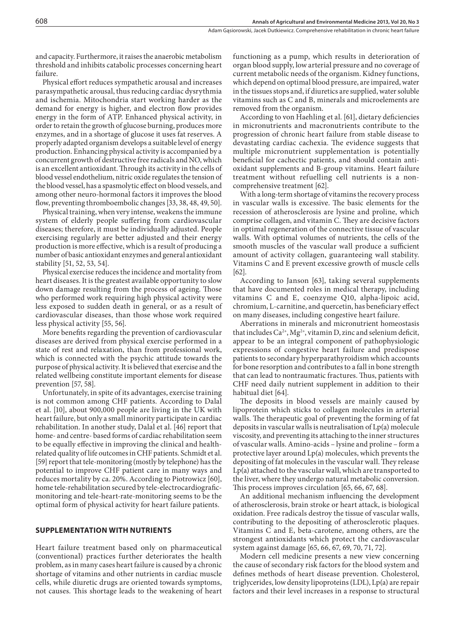and capacity. Furthermore, it raises the anaerobic metabolism threshold and inhibits catabolic processes concerning heart failure.

Physical effort reduces sympathetic arousal and increases parasympathetic arousal, thus reducing cardiac dysrythmia and ischemia. Mitochondria start working harder as the demand for energy is higher, and electron flow provides energy in the form of ATP. Enhanced physical activity, in order to retain the growth of glucose burning, produces more enzymes, and in a shortage of glucose it uses fat reserves. A properly adapted organism develops a suitable level of energy production. Enhancing physical activity is accompanied by a concurrent growth of destructive free radicals and NO, which is an excellent antioxidant. Through its activity in the cells of blood vessel endothelium, nitric oxide regulates the tension of the blood vessel, has a spasmolytic effect on blood vessels, and among other neuro-hormonal factors it improves the blood flow, preventing thromboembolic changes [33, 38, 48, 49, 50].

Physical training, when very intense, weakens the immune system of elderly people suffering from cardiovascular diseases; therefore, it must be individually adjusted. People exercising regularly are better adjusted and their energy production is more effective, which is a result of producing a number of basic antioxidant enzymes and general antioxidant stability [51, 52, 53, 54].

Physical exercise reduces the incidence and mortality from heart diseases. It is the greatest available opportunity to slow down damage resulting from the process of ageing. Those who performed work requiring high physical activity were less exposed to sudden death in general, or as a result of cardiovascular diseases, than those whose work required less physical activity [55, 56].

More benefits regarding the prevention of cardiovascular diseases are derived from physical exercise performed in a state of rest and relaxation, than from professional work, which is connected with the psychic attitude towards the purpose of physical activity. It is believed that exercise and the related wellbeing constitute important elements for disease prevention [57, 58].

Unfortunately, in spite of its advantages, exercise training is not common among CHF patients. According to Dalal et al. [10], about 900,000 people are living in the UK with heart failure, but only a small minority participate in cardiac rehabilitation. In another study, Dalal et al. [46] report that home- and centre- based forms of cardiac rehabilitation seem to be equally effective in improving the clinical and healthrelated quality of life outcomes in CHF patients. Schmidt et al. [59] report that tele-monitoring (mostly by telephone) has the potential to improve CHF patient care in many ways and reduces mortality by ca. 20%. According to Piotrowicz [60], home tele-rehabilitation secured by tele-electrocardiograficmonitoring and tele-heart-rate-monitoring seems to be the optimal form of physical activity for heart failure patients.

# **SUPPLEMENTATION WITH NUTRIENTS**

Heart failure treatment based only on pharmaceutical (conventional) practices further deteriorates the health problem, as in many cases heart failure is caused by a chronic shortage of vitamins and other nutrients in cardiac muscle cells, while diuretic drugs are oriented towards symptoms, not causes. This shortage leads to the weakening of heart functioning as a pump, which results in deterioration of organ blood supply, low arterial pressure and no coverage of current metabolic needs of the organism. Kidney functions, which depend on optimal blood pressure, are impaired, water in the tissues stops and, if diuretics are supplied, water soluble vitamins such as C and B, minerals and microelements are removed from the organism.

According to von Haehling et al. [61], dietary deficiencies in micronutrients and macronutrients contribute to the progression of chronic heart failure from stable disease to devastating cardiac cachexia. The evidence suggests that multiple micronutrient supplementation is potentially beneficial for cachectic patients, and should contain antioxidant supplements and B-group vitamins. Heart failure treatment without refuelling cell nutrients is a noncomprehensive treatment [62].

With a long-term shortage of vitamins the recovery process in vascular walls is excessive. The basic elements for the recession of atherosclerosis are lysine and proline, which comprise collagen, and vitamin C. They are decisive factors in optimal regeneration of the connective tissue of vascular walls. With optimal volumes of nutrients, the cells of the smooth muscles of the vascular wall produce a sufficient amount of activity collagen, guaranteeing wall stability. Vitamins C and E prevent excessive growth of muscle cells [62].

According to Janson [63], taking several supplements that have documented roles in medical therapy, including vitamins C and E, coenzyme Q10, alpha-lipoic acid, chromium, L-carnitine, and quercetin, has beneficiary effect on many diseases, including congestive heart failure.

Aberrations in minerals and micronutrient homeostasis that includes  $Ca^{2+}$ , Mg<sup>2+</sup>, vitamin D, zinc and selenium deficit, appear to be an integral component of pathophysiologic expressions of congestive heart failure and predispose patients to secondary hyperparathyroidism which accounts for bone resorption and contributes to a fall in bone strength that can lead to nontraumatic fractures. Thus, patients with CHF need daily nutrient supplement in addition to their habitual diet [64].

The deposits in blood vessels are mainly caused by lipoprotein which sticks to collagen molecules in arterial walls. The therapeutic goal of preventing the forming of fat deposits in vascular walls is neutralisation of Lp(a) molecule viscosity, and preventing its attaching to the inner structures of vascular walls. Amino-acids – lysine and proline – form a protective layer around Lp(a) molecules, which prevents the depositing of fat molecules in the vascular wall. They release Lp(a) attached to the vascular wall, which are transported to the liver, where they undergo natural metabolic conversion. This process improves circulation [65, 66, 67, 68].

An additional mechanism influencing the development of atherosclerosis, brain stroke or heart attack, is biological oxidation. Free radicals destroy the tissue of vascular walls, contributing to the depositing of atherosclerotic plaques. Vitamins C and E, beta-carotene, among others, are the strongest antioxidants which protect the cardiovascular system against damage [65, 66, 67, 69, 70, 71, 72].

Modern cell medicine presents a new view concerning the cause of secondary risk factors for the blood system and defines methods of heart disease prevention. Cholesterol, triglycerides, low density lipoproteins (LDL), Lp(a) are repair factors and their level increases in a response to structural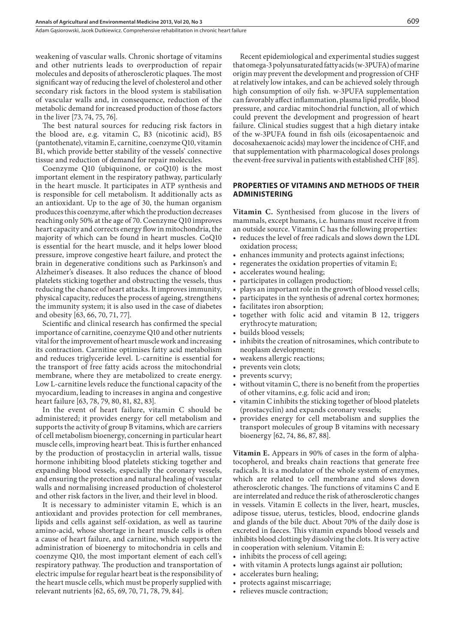Adam Gasiorowski, Jacek Dutkiewicz, Comprehensive rehabilitation in chronic heart failure

weakening of vascular walls. Chronic shortage of vitamins and other nutrients leads to overproduction of repair molecules and deposits of atherosclerotic plaques. The most significant way of reducing the level of cholesterol and other secondary risk factors in the blood system is stabilisation of vascular walls and, in consequence, reduction of the metabolic demand for increased production of those factors in the liver [73, 74, 75, 76].

The best natural sources for reducing risk factors in the blood are, e.g. vitamin C, B3 (nicotinic acid), B5 (pantothenate), vitamin E, carnitine, coenzyme Q10, vitamin B1, which provide better stability of the vessels' connective tissue and reduction of demand for repair molecules.

Coenzyme Q10 (ubiquinone, or coQ10) is the most important element in the respiratory pathway, particularly in the heart muscle. It participates in ATP synthesis and is responsible for cell metabolism. It additionally acts as an antioxidant. Up to the age of 30, the human organism produces this coenzyme, after which the production decreases reaching only 50% at the age of 70. Coenzyme Q10 improves heart capacity and corrects energy flow in mitochondria, the majority of which can be found in heart muscles. CoQ10 is essential for the heart muscle, and it helps lower blood pressure, improve congestive heart failure, and protect the brain in degenerative conditions such as Parkinson's and Alzheimer's diseases. It also reduces the chance of blood platelets sticking together and obstructing the vessels, thus reducing the chance of heart attacks. It improves immunity, physical capacity, reduces the process of ageing, strengthens the immunity system; it is also used in the case of diabetes and obesity [63, 66, 70, 71, 77].

Scientific and clinical research has confirmed the special importance of carnitine, coenzyme Q10 and other nutrients vital for the improvement of heart muscle work and increasing its contraction. Carnitine optimises fatty acid metabolism and reduces triglyceride level. L-carnitine is essential for the transport of free fatty acids across the mitochondrial membrane, where they are metabolized to create energy. Low L-carnitine levels reduce the functional capacity of the myocardium, leading to increases in angina and congestive heart failure [63, 78, 79, 80, 81, 82, 83].

In the event of heart failure, vitamin C should be administered; it provides energy for cell metabolism and supports the activity of group B vitamins, which are carriers of cell metabolism bioenergy, concerning in particular heart muscle cells, improving heart beat. This is further enhanced by the production of prostacyclin in arterial walls, tissue hormone inhibiting blood platelets sticking together and expanding blood vessels, especially the coronary vessels, and ensuring the protection and natural healing of vascular walls and normalising increased production of cholesterol and other risk factors in the liver, and their level in blood.

It is necessary to administer vitamin E, which is an antioxidant and provides protection for cell membranes, lipids and cells against self-oxidation, as well as taurine amino-acid, whose shortage in heart muscle cells is often a cause of heart failure, and carnitine, which supports the administration of bioenergy to mitochondria in cells and coenzyme Q10, the most important element of each cell's respiratory pathway. The production and transportation of electric impulse for regular heart beat is the responsibility of the heart muscle cells, which must be properly supplied with relevant nutrients [62, 65, 69, 70, 71, 78, 79, 84].

Recent epidemiological and experimental studies suggest that omega-3 polyunsaturated fatty acids (w-3PUFA) of marine origin may prevent the development and progression of CHF at relatively low intakes, and can be achieved solely through high consumption of oily fish. w-3PUFA supplementation can favorably affect inflammation, plasma lipid profile, blood pressure, and cardiac mitochondrial function, all of which could prevent the development and progression of heart failure. Clinical studies suggest that a high dietary intake of the w-3PUFA found in fish oils (eicosapentaenoic and docosahexaenoic acids) may lower the incidence of CHF, and that supplementation with pharmacological doses prolongs the event-free survival in patients with established CHF [85].

#### **PROPERTIES OF VITAMINS AND METHODS OF THEIR ADMINISTERING**

**Vitamin C.** Synthesised from glucose in the livers of mammals, except humans, i.e. humans must receive it from an outside source. Vitamin C has the following properties:

- • reduces the level of free radicals and slows down the LDL oxidation process;
- enhances immunity and protects against infections;
- regenerates the oxidation properties of vitamin E;
- accelerates wound healing;
- participates in collagen production;
- plays an important role in the growth of blood vessel cells;
- participates in the synthesis of adrenal cortex hormones;
- facilitates iron absorption;
- together with folic acid and vitamin B 12, triggers erythrocyte maturation;
- builds blood vessels;
- inhibits the creation of nitrosamines, which contribute to neoplasm development;
- weakens allergic reactions;
- prevents vein clots;
- prevents scurvy;
- • without vitamin C, there is no benefit from the properties of other vitamins, e.g. folic acid and iron;
- • vitamin C inhibits the sticking together of blood platelets (prostacyclin) and expands coronary vessels;
- provides energy for cell metabolism and supplies the transport molecules of group B vitamins with necessary bioenergy [62, 74, 86, 87, 88].

**Vitamin E.** Appears in 90% of cases in the form of alphatocopherol, and breaks chain reactions that generate free radicals. It is a modulator of the whole system of enzymes, which are related to cell membrane and slows down atherosclerotic changes. The functions of vitamins C and E are interrelated and reduce the risk of atherosclerotic changes in vessels. Vitamin E collects in the liver, heart, muscles, adipose tissue, uterus, testicles, blood, endocrine glands and glands of the bile duct. About 70% of the daily dose is excreted in faeces. This vitamin expands blood vessels and inhibits blood clotting by dissolving the clots. It is very active in cooperation with selenium. Vitamin E:

- inhibits the process of cell ageing;
- with vitamin A protects lungs against air pollution;
- accelerates burn healing;
- protects against miscarriage;
- relieves muscle contraction;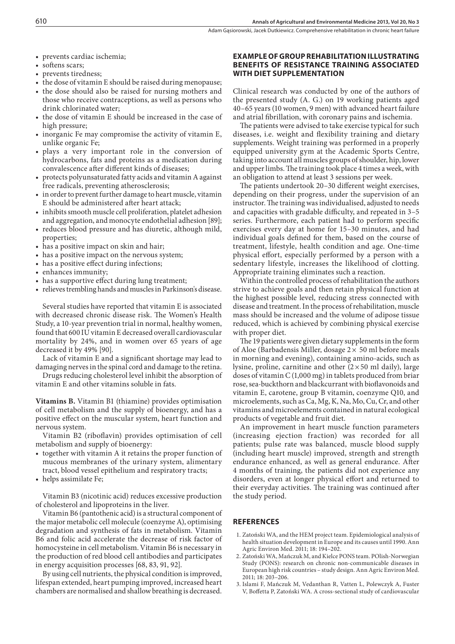• prevents cardiac ischemia;

- softens scars;
- prevents tiredness;
- the dose of vitamin E should be raised during menopause; • the dose should also be raised for nursing mothers and
- those who receive contraceptions, as well as persons who drink chlorinated water;
- the dose of vitamin E should be increased in the case of high pressure;
- inorganic Fe may compromise the activity of vitamin E, unlike organic Fe;
- plays a very important role in the conversion of hydrocarbons, fats and proteins as a medication during convalescence after different kinds of diseases;
- protects polyunsaturated fatty acids and vitamin A against free radicals, preventing atherosclerosis;
- in order to prevent further damage to heart muscle, vitamin E should be administered after heart attack;
- inhibits smooth muscle cell proliferation, platelet adhesion and aggregation, and monocyte endothelial adhesion [89];
- reduces blood pressure and has diuretic, although mild, properties;
- has a positive impact on skin and hair;
- has a positive impact on the nervous system;
- has a positive effect during infections;
- enhances immunity;
- has a supportive effect during lung treatment;
- relieves trembling hands and muscles in Parkinson's disease.

Several studies have reported that vitamin E is associated with decreased chronic disease risk. The Women's Health Study, a 10-year prevention trial in normal, healthy women, found that 600 IU vitamin E decreased overall cardiovascular mortality by 24%, and in women over 65 years of age decreased it by 49% [90].

Lack of vitamin E and a significant shortage may lead to damaging nerves in the spinal cord and damage to the retina.

Drugs reducing cholesterol level inhibit the absorption of vitamin E and other vitamins soluble in fats.

**Vitamins B.** Vitamin B1 (thiamine) provides optimisation of cell metabolism and the supply of bioenergy, and has a positive effect on the muscular system, heart function and nervous system.

Vitamin B2 (riboflavin) provides optimisation of cell metabolism and supply of bioenergy:

- together with vitamin A it retains the proper function of mucous membranes of the urinary system, alimentary tract, blood vessel epithelium and respiratory tracts;
- helps assimilate Fe;

Vitamin B3 (nicotinic acid) reduces excessive production of cholesterol and lipoproteins in the liver.

Vitamin B6 (pantothenic acid) is a structural component of the major metabolic cell molecule (coenzyme A), optimising degradation and synthesis of fats in metabolism. Vitamin B6 and folic acid accelerate the decrease of risk factor of homocysteine in cell metabolism. Vitamin B6 is necessary in the production of red blood cell antibodies and participates in energy acquisition processes [68, 83, 91, 92].

By using cell nutrients, the physical condition is improved, lifespan extended, heart pumping improved, increased heart chambers are normalised and shallow breathing is decreased.

## **EXAMPLE OF GROUP REHABILITATION ILLUSTRATING BENEFITS OF RESISTANCE TRAINING ASSOCIATED WITH DIET SUPPLEMENTATION**

Clinical research was conducted by one of the authors of the presented study (A. G.) on 19 working patients aged 40–65 years (10 women, 9 men) with advanced heart failure and atrial fibrillation, with coronary pains and ischemia.

The patients were advised to take exercise typical for such diseases, i.e. weight and flexibility training and dietary supplements. Weight training was performed in a properly equipped university gym at the Academic Sports Centre, taking into account all muscles groups of shoulder, hip, lower and upper limbs. The training took place 4 times a week, with an obligation to attend at least 3 sessions per week.

The patients undertook 20–30 different weight exercises, depending on their progress, under the supervision of an instructor. The training was individualised, adjusted to needs and capacities with gradable difficulty, and repeated in 3–5 series. Furthermore, each patient had to perform specific exercises every day at home for 15–30 minutes, and had individual goals defined for them, based on the course of treatment, lifestyle, health condition and age. One-time physical effort, especially performed by a person with a sedentary lifestyle, increases the likelihood of clotting. Appropriate training eliminates such a reaction.

Within the controlled process of rehabilitation the authors strive to achieve goals and then retain physical function at the highest possible level, reducing stress connected with disease and treatment. In the process of rehabilitation, muscle mass should be increased and the volume of adipose tissue reduced, which is achieved by combining physical exercise with proper diet.

The 19 patients were given dietary supplements in the form of Aloe (Barbadensis Miller, dosage  $2 \times 50$  ml before meals in morning and evening), containing amino-acids, such as lysine, proline, carnitine and other  $(2 \times 50 \text{ ml daily})$ , large doses of vitamin C (1,000 mg) in tablets produced from briar rose, sea-buckthorn and blackcurrant with bioflavonoids and vitamin E, carotene, group B vitamin, coenzyme Q10, and microelements, such as Ca, Mg, K, Na, Mo, Cu, Cr, and other vitamins and microelements contained in natural ecological products of vegetable and fruit diet.

An improvement in heart muscle function parameters (increasing ejection fraction) was recorded for all patients; pulse rate was balanced, muscle blood supply (including heart muscle) improved, strength and strength endurance enhanced, as well as general endurance. After 4 months of training, the patients did not experience any disorders, even at longer physical effort and returned to their everyday activities. The training was continued after the study period.

#### **REFERENCES**

- 1. Zatoński WA, and the HEM project team. Epidemiological analysis of health situation development in Europe and its causes until 1990. Ann Agric Environ Med. 2011; 18: 194–202.
- 2. Zatoński WA, Mańczuk M, and Kielce PONS team. POlish-Norwegian Study (PONS): research on chronic non-communicable diseases in European high risk countries – study design. Ann Agric Environ Med. 2011; 18: 203–206.
- 3. Islami F, Mańczuk M, Vedanthan R, Vatten L, Polewczyk A, Fuster V, Boffetta P, Zatoński WA. A cross-sectional study of cardiovascular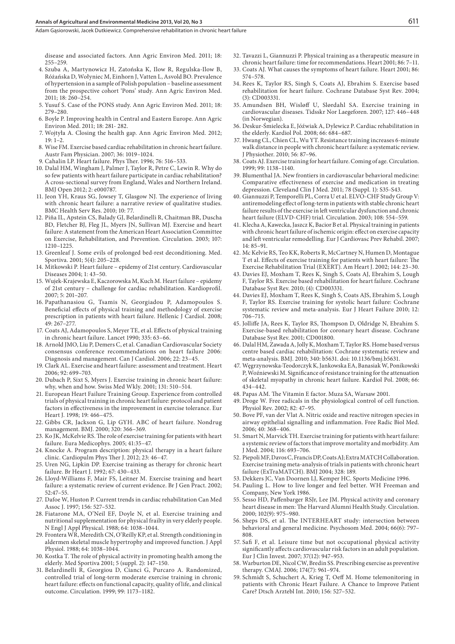Adam Gasiorowski, Jacek Dutkiewicz, Comprehensive rehabilitation in chronic heart failure

disease and associated factors. Ann Agric Environ Med. 2011; 18: 255–259.

- 4. Szuba A, Martynowicz H, Zatońska K, Ilow R, Regulska-Ilow B, Różańska D, Wołyniec M, Einhorn J, Vatten L, Asvold BO. Prevalence of hypertension in a sample of Polish population – baseline assessment from the prospective cohort 'Pons' study. Ann Agric Environ Med. 2011; 18: 260–254.
- 5. Yusuf S. Case of the PONS study. Ann Agric Environ Med. 2011; 18: 279–280.
- 6. Boyle P. Improving health in Central and Eastern Europe. Ann Agric Environ Med. 2011; 18: 281- 282.
- 7. Wojtyła A. Closing the health gap. Ann Agric Environ Med. 2012; 19: 1–2.
- 8. Wise FM. Exercise based cardiac rehabilitation in chronic heart failure. Austr Fam Physician. 2007; 36: 1019–1024.
- 9. Cahalin LP. Heart failure. Phys Ther. 1996; 76: 516–533.
- 10. Dalal HM, Wingham J, Palmer J, Taylor R, Petre C, Lewin R. Why do so few patients with heart failure participate in cardiac rehabilitation? A cross-sectional survey from England, Wales and Northern Ireland. BMJ Open 2012; 2: e000787.
- 11. Jeon YH, Kraus SG, Jowsey T, Glasgow NJ. The experience of living with chronic heart failure: a narrative review of qualitative studies. BMC Health Serv Res. 2010; 10: 77.
- 12. Piña IL, Apstein CS, Balady GJ, Belardinelli R, Chaitman BR, Duscha BD, Fletcher BJ, Fleg JL, Myers JN, Sullivan MJ. Exercise and heart failure: A statement from the American Heart Association Committee on Exercise, Rehabilitation, and Prevention. Circulation*.* 2003; 107: 1210–1225.
- 13. Greenleaf J. Some evils of prolonged bed-rest deconditioning. Med. Sportiva. 2001; 5(4): 205–228.
- 14. Mitkowski P. Heart failure epidemy of 21st century. Cardiovascular Diseases 2004; 1: 43–50.
- 15. Wujek-Krajewska E, Kaczorowska M, Kuch M. Heart failure epidemy of 21st century – challenge for cardiac rehabilitation. Kardioprofil. 2007; 5: 201–207.
- 16. Papathanasiou G, Tsamis N, Georgiadou P, Adamopoulos S. Beneficial effects of physical training and methodology of exercise prescription in patients with heart failure. Hellenic J Cardiol. 2008; 49: 267–277.
- 17. Coats AJ, Adamopoulos S, Meyer TE, et al. Effects of physical training in chronic heart failure. Lancet 1990; 335: 63–66.
- 18. Arnold JMO, Liu P, Demers C, et al. Canadian Cardiovascular Society consensus conference recommendations on heart failure 2006: Diagnosis and management. Can J Cardiol. 2006; 22: 23–45.
- 19. Clark AL. Exercise and heart failure: assessment and treatment. Heart 2006; 92: 699–703.
- 20. Dubach P, Sixt S, Myers J. Exercise training in chronic heart failure: why, when and how. Swiss Med Wkly. 2001; 131: 510–514.
- 21. European Heart Failure Training Group. Experience from controlled trials of physical training in chronic heart failure: protocol and patient factors in effectiveness in the improvement in exercise tolerance. Eur Heart J. 1998; 19: 466–475.
- 22. Gibbs CR, Jackson G, Lip GYH. ABC of heart failure. Nondrug management. BMJ. 2000; 320: 366–369.
- 23. Ko JK, McKelvie RS. The role of exercise training for patients with heart failure. Eura Medicophys. 2005; 41:35–47.
- 24. Knocke A. Program description: physical therapy in a heart failure clinic. Cardiopulm Phys Ther J. 2012; 23: 46–47.
- 25. Uren NG, Lipkin DP. Exercise training as therapy for chronic heart failure. Br Heart J. 1992; 67: 430–433.
- 26. Lloyd-Williams F, Mair FS, Leitner M. Exercise training and heart failure: a systematic review of current evidence. Br J Gen Pract. 2002; 52:47–55.
- 27. Dafoe W, Huston P. Current trends in cardiac rehabilitation Can Med Assoc J. 1997; 156: 527–532.
- 28. Fiatarone MA, O'Neil EF, Doyle N, et al. Exercise training and nutritional supplementation for physical frailty in very elderly people. N Engl J Appl Physical. 1988; 64: 1038–1044.
- 29. Frontera WR, Meredith CN, O'Reilly KP, et al. Strength conditioning in aldermen skeletal muscle hypertrophy and improved function. J Appl Physiol. 1988; 64: 1038–1044.
- 30. Kostka T. The role of physical activity in promoting health among the elderly. Med Sportiva 2001; 5 (suppl. 2): 147–150.
- 31. Belardinelli R, Georgiou D, Cianci G, Purcaro A. Randomized, controlled trial of long-term moderate exercise training in chronic heart failure: effects on functional capacity, quality of life, and clinical outcome. Circulation. 1999; 99: 1173–1182.
- 32. Tavazzi L, Giannuzzi P. Physical training as a therapeutic measure in chronic heart failure: time for recommendations. Heart 2001; 86: 7–11.
- 33. Coats AJ. What causes the symptoms of heart failure. Heart 2001; 86: 574–578.
- 34. Rees K, Taylor RS, Singh S, Coats AJ, Ebrahim S. Exercise based rehabilitation for heart failure. Cochrane Database Syst Rev. 2004; (3): CD003331.
- 35. Amundsen BH, Wisløff U, Slørdahl SA. Exercise training in cardiovascular diseases. Tidsskr Nor Laegeforen. 2007; 127: 446–448 (in Norwegian).
- 36. Deskur-Śmielecka E, Jóźwiak A, Dylewicz P. Cardiac rehabilitation in the elderly. Kardiol Pol. 2008; 66: 684–687.
- 37. Hwang CL, Chien CL, Wu YT. Resistance training increases 6-minute walk distance in people with chronic heart failure: a systematic review. J Physiother. 2010; 56: 87–96.
- 38. Coats AJ. Exercise training for heart failure. Coming of age. Circulation. 1999; 99: 1138–1140.
- 39. Blumenthal JA. New frontiers in cardiovascular behavioral medicine: Comparative effectiveness of exercise and medication in treating depression. Cleveland Clin J Med. 2011; 78 (Suppl. 1): S35-S43.
- 40. Giannuzzi P, Temporelli PL, Corra U et al. ELVO-CHF Study Group V: antiremodeling effect of long-term in patients with stable chronic heart failure results of the exercise in left ventricular dysfunction and chronic heart failure (ELVD-CHF) trial. Circulation. 2003; 108: 554–559.
- 41. Klecha A, Kawecka, Jaszcz K, Bacior B et al. Physical training in patients with chronic heart failure of ischemic origin: effect on exercise capacity and left ventricular remodelling. Eur J Cardiovasc Prev Rehabil. 2007;  $14.85 - 91$
- 42. Mc Kelvie RS, Teo KK, Roberts R, McCartney N, Humen D, Montague T et al. Effects of exercise training for patients with heart failure: The Exercise Rehabilitation Trial (EXERT). Am Heart J. 2002; 144: 23–30.
- 43. Davies EJ, Moxham T, Rees K, Singh S, Coats AJ, Ebrahim S, Lough F, Taylor RS. Exercise based rehabilitation for heart failure. Cochrane Database Syst Rev. 2010; (4): CD003331.
- 44. Davies EJ, Moxham T, Rees K, Singh S, Coats AJS, Ebrahim S, Lough F, Taylor RS. Exercise training for systolic heart failure: Cochrane systematic review and meta-analysis. Eur J Heart Failure 2010; 12: 706–715.
- 45. Jolliffe JA, Rees K, Taylor RS, Thompson D, Oldridge N, Ebrahim S. Exercise-based rehabilitation for coronary heart disease. Cochrane Database Syst Rev. 2001; CD001800.
- 46. Dalal HM, Zawada A, Jolly K, Moxham T, Taylor RS. Home based versus centre based cardiac rehabilitation: Cochrane systematic review and meta-analysis. BMJ. 2010; 340: b5631. doi: 10.1136/bmj.b5631.
- 47. Węgrzynowska-Teodorczyk K, Jankowska EA, Banasiak W, Ponikowski P, Woźniewski M. Significance of resistance training for the attenuation of skeletal myopathy in chronic heart failure. Kardiol Pol. 2008; 66: 434–442.
- 48. Papas AM. The Vitamin E factor. Muza SA, Warsaw 2001.
- 49. Droge W. Free radicals in the physiological control of cell function. Physiol Rev. 2002; 82: 47–95.
- 50. Bove PF, van der Vlat A. Nitric oxide and reactive nitrogen species in airway epithelial signalling and inflammation. Free Radic Biol Med. 2006; 40: 368–406.
- 51. Smart N, Marvick TH. Exercise training for patients with heart failure: a systemic review of factors that improve mortality and morbidity. Am J Med. 2004; 116: 693–706.
- 52. Piepoli MF, Davos C, Francis DP, Coats AJ; Extra MATCH Collaboration. Exercise training meta-analysis of trials in patients with chronic heart failure (ExTraMATCH). BMJ 2004; 328: 189.
- 53. Dekkers JC, Van Doornen LJ, Kemper HC. Sports Medicine 1996.
- 54. Pauling L. How to live longer and feel better. WH Freeman and Company, New York 1986.
- 55. Sesso HD, Paffenbarger RSJr, Lee JM. Physical activity and coronary heart disease in men: The Harvard Alumni Health Study. Circulation. 2000; 102(9): 975–980.
- 56. Sheps DS, et al. The INTERHEART study: intersection between behavioral and general medicine. Psychosom Med. 2004; 66(6): 797– 808.
- 57. Safi F, et al. Leisure time but not occupational physical activity significantly affects cardiovascular risk factors in an adult population. Eur J Clin Invest. 2007; 37(12): 947–953.
- 58. Warburton DE, Nicol CW, Bredin SS. Prescribing exercise as preventive therapy. CMAJ. 2006; 174(7): 961–974.
- 59. Schmidt S, Schuchert A, Krieg T, Oeff M. Home telemonitoring in patients with Chronic Heart Failure. A Chance to Improve Patient Care? Dtsch Arztebl Int. 2010; 156: 527–532.